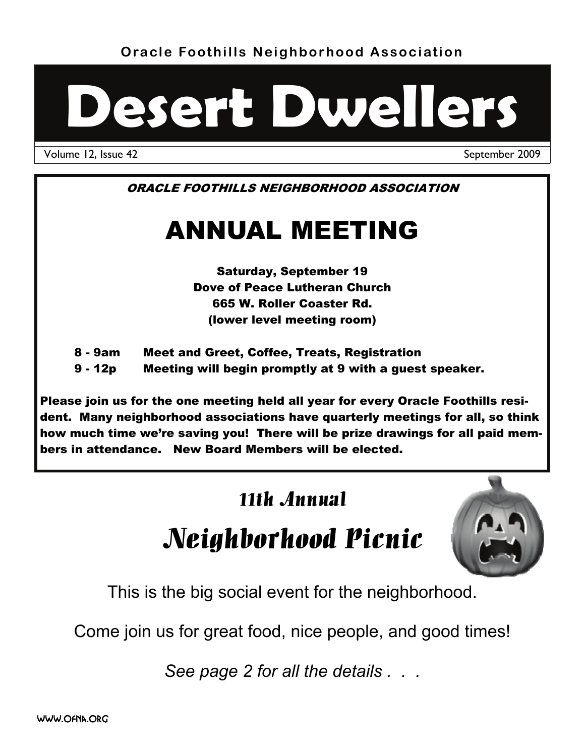**Oracle Foothills Neighborhood Association** 



Volume 12, Issue 42 September 2009

ORACLE FOOTHILLS NEIGHBORHOOD ASSOCIATION

# ANNUAL MEETING

Saturday, September 19 Dove of Peace Lutheran Church 665 W. Roller Coaster Rd. (lower level meeting room)

8 - 9am Meet and Greet, Coffee, Treats, Registration

9 - 12p Meeting will begin promptly at 9 with a guest speaker.

Please join us for the one meeting held all year for every Oracle Foothills resident. Many neighborhood associations have quarterly meetings for all, so think how much time we're saving you! There will be prize drawings for all paid members in attendance. New Board Members will be elected.

### 11th Annual

# Neighborhood Picnic



This is the big social event for the neighborhood.

Come join us for great food, nice people, and good times!

*See page 2 for all the details . . .*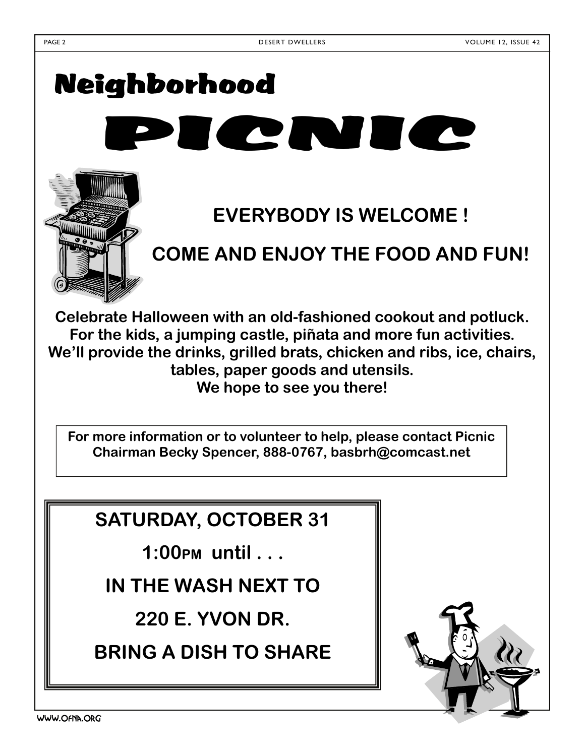# Neighborhood PICZNICZ



# **EVERYBODY IS WELCOME !**

# **COME AND ENJOY THE FOOD AND FUN!**

**Celebrate Halloween with an old-fashioned cookout and potluck. For the kids, a jumping castle, piñata and more fun activities. We'll provide the drinks, grilled brats, chicken and ribs, ice, chairs, tables, paper goods and utensils. We hope to see you there!** 

**For more information or to volunteer to help, please contact Picnic Chairman Becky Spencer, 888-0767, basbrh@comcast.net** 

### **SATURDAY, OCTOBER 31**

**1:00PM until . . .** 

**IN THE WASH NEXT TO** 

**220 E. YVON DR.** 

**BRING A DISH TO SHARE** 

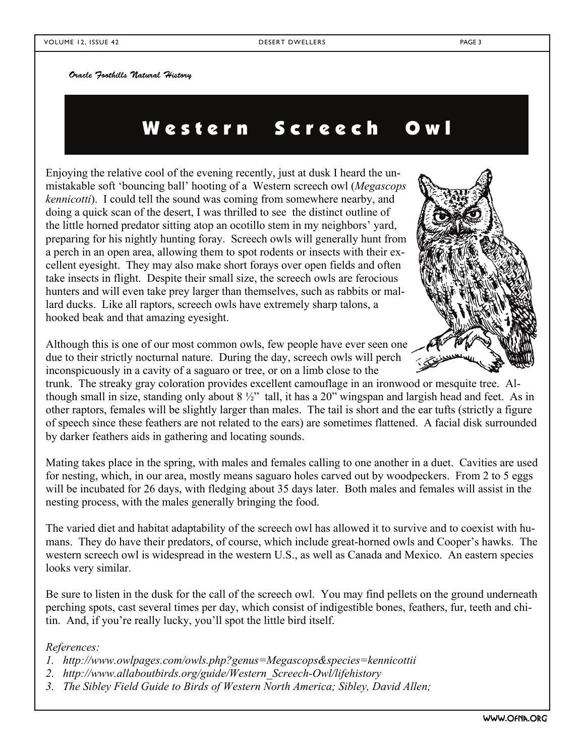Oracle Foothills Natural History

## Western Screech Owl

Enjoying the relative cool of the evening recently, just at dusk I heard the unmistakable soft 'bouncing ball' hooting of a Western screech owl (*Megascops kennicotti*). I could tell the sound was coming from somewhere nearby, and doing a quick scan of the desert, I was thrilled to see the distinct outline of the little horned predator sitting atop an ocotillo stem in my neighbors' yard, preparing for his nightly hunting foray. Screech owls will generally hunt from a perch in an open area, allowing them to spot rodents or insects with their excellent eyesight. They may also make short forays over open fields and often take insects in flight. Despite their small size, the screech owls are ferocious hunters and will even take prey larger than themselves, such as rabbits or mallard ducks. Like all raptors, screech owls have extremely sharp talons, a hooked beak and that amazing eyesight.

Although this is one of our most common owls, few people have ever seen one due to their strictly nocturnal nature. During the day, screech owls will perch inconspicuously in a cavity of a saguaro or tree, or on a limb close to the

trunk. The streaky gray coloration provides excellent camouflage in an ironwood or mesquite tree. Although small in size, standing only about  $8\frac{1}{2}$ " tall, it has a 20" wingspan and largish head and feet. As in other raptors, females will be slightly larger than males. The tail is short and the ear tufts (strictly a figure of speech since these feathers are not related to the ears) are sometimes flattened. A facial disk surrounded by darker feathers aids in gathering and locating sounds.

Mating takes place in the spring, with males and females calling to one another in a duet. Cavities are used for nesting, which, in our area, mostly means saguaro holes carved out by woodpeckers. From 2 to 5 eggs will be incubated for 26 days, with fledging about 35 days later. Both males and females will assist in the nesting process, with the males generally bringing the food.

The varied diet and habitat adaptability of the screech owl has allowed it to survive and to coexist with humans. They do have their predators, of course, which include great-horned owls and Cooper's hawks. The western screech owl is widespread in the western U.S., as well as Canada and Mexico. An eastern species looks very similar.

Be sure to listen in the dusk for the call of the screech owl. You may find pellets on the ground underneath perching spots, cast several times per day, which consist of indigestible bones, feathers, fur, teeth and chitin. And, if you're really lucky, you'll spot the little bird itself.

#### *References:*

- *1. http://www.owlpages.com/owls.php?genus=Megascops&species=kennicottii*
- *2. http://www.allaboutbirds.org/guide/Western\_Screech-Owl/lifehistory*
- *3. The Sibley Field Guide to Birds of Western North America; Sibley, David Allen;*

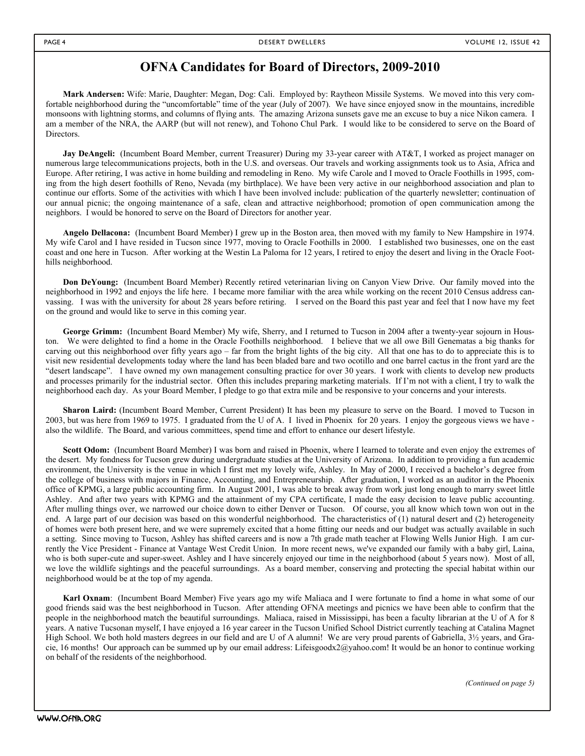#### **OFNA Candidates for Board of Directors, 2009-2010**

**Mark Andersen:** Wife: Marie, Daughter: Megan, Dog: Cali. Employed by: Raytheon Missile Systems. We moved into this very comfortable neighborhood during the "uncomfortable" time of the year (July of 2007). We have since enjoyed snow in the mountains, incredible monsoons with lightning storms, and columns of flying ants. The amazing Arizona sunsets gave me an excuse to buy a nice Nikon camera. I am a member of the NRA, the AARP (but will not renew), and Tohono Chul Park. I would like to be considered to serve on the Board of Directors.

**Jay DeAngeli:** (Incumbent Board Member, current Treasurer) During my 33-year career with AT&T, I worked as project manager on numerous large telecommunications projects, both in the U.S. and overseas. Our travels and working assignments took us to Asia, Africa and Europe. After retiring, I was active in home building and remodeling in Reno. My wife Carole and I moved to Oracle Foothills in 1995, coming from the high desert foothills of Reno, Nevada (my birthplace). We have been very active in our neighborhood association and plan to continue our efforts. Some of the activities with which I have been involved include: publication of the quarterly newsletter; continuation of our annual picnic; the ongoing maintenance of a safe, clean and attractive neighborhood; promotion of open communication among the neighbors. I would be honored to serve on the Board of Directors for another year.

**Angelo Dellacona:** (Incumbent Board Member) I grew up in the Boston area, then moved with my family to New Hampshire in 1974. My wife Carol and I have resided in Tucson since 1977, moving to Oracle Foothills in 2000. I established two businesses, one on the east coast and one here in Tucson. After working at the Westin La Paloma for 12 years, I retired to enjoy the desert and living in the Oracle Foothills neighborhood.

**Don DeYoung:** (Incumbent Board Member) Recently retired veterinarian living on Canyon View Drive. Our family moved into the neighborhood in 1992 and enjoys the life here. I became more familiar with the area while working on the recent 2010 Census address canvassing. I was with the university for about 28 years before retiring. I served on the Board this past year and feel that I now have my feet on the ground and would like to serve in this coming year.

George Grimm: (Incumbent Board Member) My wife, Sherry, and I returned to Tucson in 2004 after a twenty-year sojourn in Houston. We were delighted to find a home in the Oracle Foothills neighborhood. I believe that we all owe Bill Genematas a big thanks for carving out this neighborhood over fifty years ago – far from the bright lights of the big city. All that one has to do to appreciate this is to visit new residential developments today where the land has been bladed bare and two ocotillo and one barrel cactus in the front yard are the "desert landscape". I have owned my own management consulting practice for over 30 years. I work with clients to develop new products and processes primarily for the industrial sector. Often this includes preparing marketing materials. If I'm not with a client, I try to walk the neighborhood each day. As your Board Member, I pledge to go that extra mile and be responsive to your concerns and your interests.

**Sharon Laird:** (Incumbent Board Member, Current President) It has been my pleasure to serve on the Board. I moved to Tucson in 2003, but was here from 1969 to 1975. I graduated from the U of A. I lived in Phoenix for 20 years. I enjoy the gorgeous views we have also the wildlife. The Board, and various committees, spend time and effort to enhance our desert lifestyle.

Scott Odom: (Incumbent Board Member) I was born and raised in Phoenix, where I learned to tolerate and even enjoy the extremes of the desert. My fondness for Tucson grew during undergraduate studies at the University of Arizona. In addition to providing a fun academic environment, the University is the venue in which I first met my lovely wife, Ashley. In May of 2000, I received a bachelor's degree from the college of business with majors in Finance, Accounting, and Entrepreneurship. After graduation, I worked as an auditor in the Phoenix office of KPMG, a large public accounting firm. In August 2001, I was able to break away from work just long enough to marry sweet little Ashley. And after two years with KPMG and the attainment of my CPA certificate, I made the easy decision to leave public accounting. After mulling things over, we narrowed our choice down to either Denver or Tucson. Of course, you all know which town won out in the end. A large part of our decision was based on this wonderful neighborhood. The characteristics of (1) natural desert and (2) heterogeneity of homes were both present here, and we were supremely excited that a home fitting our needs and our budget was actually available in such a setting. Since moving to Tucson, Ashley has shifted careers and is now a 7th grade math teacher at Flowing Wells Junior High. I am currently the Vice President - Finance at Vantage West Credit Union. In more recent news, we've expanded our family with a baby girl, Laina, who is both super-cute and super-sweet. Ashley and I have sincerely enjoyed our time in the neighborhood (about 5 years now). Most of all, we love the wildlife sightings and the peaceful surroundings. As a board member, conserving and protecting the special habitat within our neighborhood would be at the top of my agenda.

**Karl Oxnam**: (Incumbent Board Member) Five years ago my wife Maliaca and I were fortunate to find a home in what some of our good friends said was the best neighborhood in Tucson. After attending OFNA meetings and picnics we have been able to confirm that the people in the neighborhood match the beautiful surroundings. Maliaca, raised in Mississippi, has been a faculty librarian at the U of A for 8 years. A native Tucsonan myself, I have enjoyed a 16 year career in the Tucson Unified School District currently teaching at Catalina Magnet High School. We both hold masters degrees in our field and are U of A alumni! We are very proud parents of Gabriella,  $3\frac{1}{2}$  years, and Gracie, 16 months! Our approach can be summed up by our email address: Lifeisgoodx2@yahoo.com! It would be an honor to continue working on behalf of the residents of the neighborhood.

*(Continued on page 5)*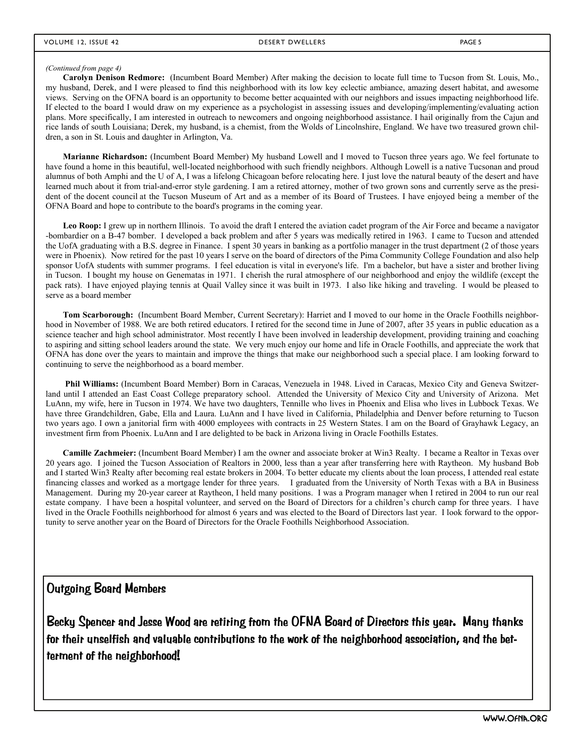#### *(Continued from page 4)*

**Carolyn Denison Redmore:** (Incumbent Board Member) After making the decision to locate full time to Tucson from St. Louis, Mo., my husband, Derek, and I were pleased to find this neighborhood with its low key eclectic ambiance, amazing desert habitat, and awesome views. Serving on the OFNA board is an opportunity to become better acquainted with our neighbors and issues impacting neighborhood life. If elected to the board I would draw on my experience as a psychologist in assessing issues and developing/implementing/evaluating action plans. More specifically, I am interested in outreach to newcomers and ongoing neighborhood assistance. I hail originally from the Cajun and rice lands of south Louisiana; Derek, my husband, is a chemist, from the Wolds of Lincolnshire, England. We have two treasured grown children, a son in St. Louis and daughter in Arlington, Va.

**Marianne Richardson:** (Incumbent Board Member) My husband Lowell and I moved to Tucson three years ago. We feel fortunate to have found a home in this beautiful, well-located neighborhood with such friendly neighbors. Although Lowell is a native Tucsonan and proud alumnus of both Amphi and the U of A, I was a lifelong Chicagoan before relocating here. I just love the natural beauty of the desert and have learned much about it from trial-and-error style gardening. I am a retired attorney, mother of two grown sons and currently serve as the president of the docent council at the Tucson Museum of Art and as a member of its Board of Trustees. I have enjoyed being a member of the OFNA Board and hope to contribute to the board's programs in the coming year.

Leo Roop: I grew up in northern Illinois. To avoid the draft I entered the aviation cadet program of the Air Force and became a navigator -bombardier on a B-47 bomber. I developed a back problem and after 5 years was medically retired in 1963. I came to Tucson and attended the UofA graduating with a B.S. degree in Finance. I spent 30 years in banking as a portfolio manager in the trust department (2 of those years were in Phoenix). Now retired for the past 10 years I serve on the board of directors of the Pima Community College Foundation and also help sponsor UofA students with summer programs. I feel education is vital in everyone's life. I'm a bachelor, but have a sister and brother living in Tucson. I bought my house on Genematas in 1971. I cherish the rural atmosphere of our neighborhood and enjoy the wildlife (except the pack rats). I have enjoyed playing tennis at Quail Valley since it was built in 1973. I also like hiking and traveling. I would be pleased to serve as a board member

**Tom Scarborough:** (Incumbent Board Member, Current Secretary): Harriet and I moved to our home in the Oracle Foothills neighborhood in November of 1988. We are both retired educators. I retired for the second time in June of 2007, after 35 years in public education as a science teacher and high school administrator. Most recently I have been involved in leadership development, providing training and coaching to aspiring and sitting school leaders around the state. We very much enjoy our home and life in Oracle Foothills, and appreciate the work that OFNA has done over the years to maintain and improve the things that make our neighborhood such a special place. I am looking forward to continuing to serve the neighborhood as a board member.

**Phil Williams:** (Incumbent Board Member) Born in Caracas, Venezuela in 1948. Lived in Caracas, Mexico City and Geneva Switzerland until I attended an East Coast College preparatory school. Attended the University of Mexico City and University of Arizona. Met LuAnn, my wife, here in Tucson in 1974. We have two daughters, Tennille who lives in Phoenix and Elisa who lives in Lubbock Texas. We have three Grandchildren, Gabe, Ella and Laura. LuAnn and I have lived in California, Philadelphia and Denver before returning to Tucson two years ago. I own a janitorial firm with 4000 employees with contracts in 25 Western States. I am on the Board of Grayhawk Legacy, an investment firm from Phoenix. LuAnn and I are delighted to be back in Arizona living in Oracle Foothills Estates.

**Camille Zachmeier:** (Incumbent Board Member) I am the owner and associate broker at Win3 Realty. I became a Realtor in Texas over 20 years ago. I joined the Tucson Association of Realtors in 2000, less than a year after transferring here with Raytheon. My husband Bob and I started Win3 Realty after becoming real estate brokers in 2004. To better educate my clients about the loan process, I attended real estate financing classes and worked as a mortgage lender for three years. I graduated from the University of North Texas with a BA in Business Management. During my 20-year career at Raytheon, I held many positions. I was a Program manager when I retired in 2004 to run our real estate company. I have been a hospital volunteer, and served on the Board of Directors for a children's church camp for three years. I have lived in the Oracle Foothills neighborhood for almost 6 years and was elected to the Board of Directors last year. I look forward to the opportunity to serve another year on the Board of Directors for the Oracle Foothills Neighborhood Association.

Outgoing Board Members

Becky Spencer and Jesse Wood are retiring from the OFNA Board of Directors this year. Many thanks for their unselfish and valuable contributions to the work of the neighborhood association, and the betterment of the neighborhood!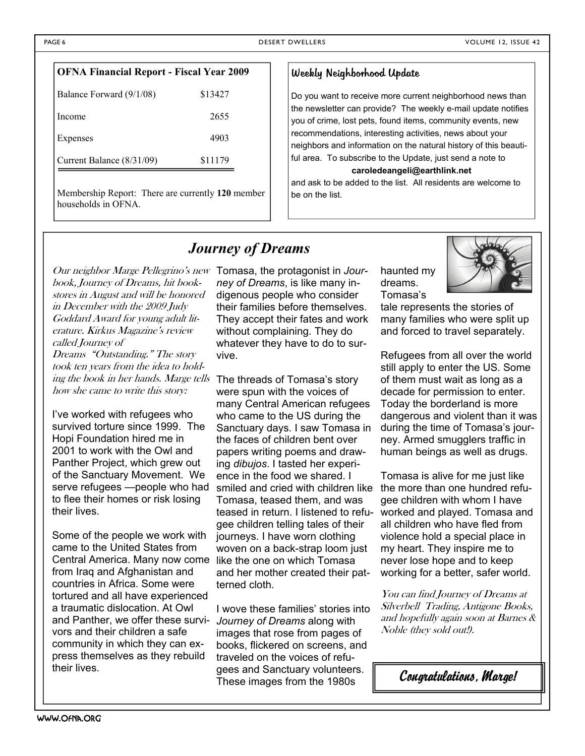| <b>OFNA Financial Report - Fiscal Year 2009</b> |         |  |  |
|-------------------------------------------------|---------|--|--|
| Balance Forward (9/1/08)                        | \$13427 |  |  |
| Income                                          | 2655    |  |  |
| Expenses                                        | 4903    |  |  |
| Current Balance (8/31/09)                       | \$11179 |  |  |

Membership Report: There are currently **120** member households in OFNA.

#### Weekly Neighborhood Update

Do you want to receive more current neighborhood news than the newsletter can provide? The weekly e-mail update notifies you of crime, lost pets, found items, community events, new recommendations, interesting activities, news about your neighbors and information on the natural history of this beautiful area. To subscribe to the Update, just send a note to

**caroledeangeli@earthlink.net** 

and ask to be added to the list. All residents are welcome to be on the list.

#### *Journey of Dreams*

Our neighbor Marge Pellegrino's new Tomasa, the protagonist in *Jour*book, Journey of Dreams, hit bookstores in August and will be honored in December with the 2009 Judy Goddard Award for young adult literature. Kirkus Magazine's review called Journey of

Dreams "Outstanding." The story took ten years from the idea to holding the book in her hands. Marge tells The threads of Tomasa's story how she came to write this story:

I've worked with refugees who survived torture since 1999. The Hopi Foundation hired me in 2001 to work with the Owl and Panther Project, which grew out of the Sanctuary Movement. We serve refugees —people who had to flee their homes or risk losing their lives.

Some of the people we work with came to the United States from Central America. Many now come like the one on which Tomasa from Iraq and Afghanistan and countries in Africa. Some were tortured and all have experienced a traumatic dislocation. At Owl and Panther, we offer these survivors and their children a safe community in which they can express themselves as they rebuild their lives.

*ney of Dreams*, is like many indigenous people who consider their families before themselves. They accept their fates and work without complaining. They do whatever they have to do to survive.

were spun with the voices of many Central American refugees who came to the US during the Sanctuary days. I saw Tomasa in the faces of children bent over papers writing poems and drawing *dibujos*. I tasted her experience in the food we shared. I smiled and cried with children like Tomasa, teased them, and was teased in return. I listened to refugee children telling tales of their journeys. I have worn clothing woven on a back-strap loom just and her mother created their patterned cloth.

I wove these families' stories into *Journey of Dreams* along with images that rose from pages of books, flickered on screens, and traveled on the voices of refugees and Sanctuary volunteers. These images from the 1980s

haunted my dreams. Tomasa's



tale represents the stories of many families who were split up and forced to travel separately.

Refugees from all over the world still apply to enter the US. Some of them must wait as long as a decade for permission to enter. Today the borderland is more dangerous and violent than it was during the time of Tomasa's journey. Armed smugglers traffic in human beings as well as drugs.

Tomasa is alive for me just like the more than one hundred refugee children with whom I have worked and played. Tomasa and all children who have fled from violence hold a special place in my heart. They inspire me to never lose hope and to keep working for a better, safer world.

You can find Journey of Dreams at Silverbell Trading, Antigone Books, and hopefully again soon at Barnes & Noble (they sold out!).

*Congratulations, Marge!*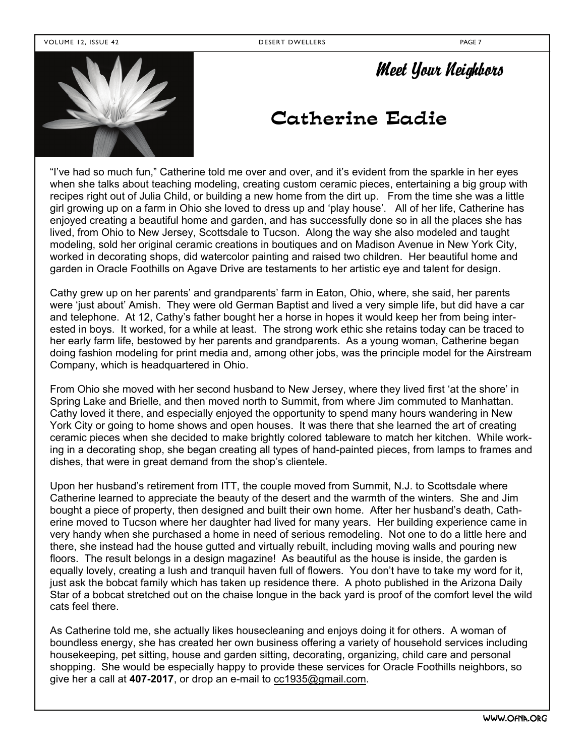#### VOLUME 12, ISSUE 42 DESERT DWELLERS PAGE 7



### *Meet Your Neighbors*

### Catherine Eadie

"I've had so much fun," Catherine told me over and over, and it's evident from the sparkle in her eyes when she talks about teaching modeling, creating custom ceramic pieces, entertaining a big group with recipes right out of Julia Child, or building a new home from the dirt up. From the time she was a little girl growing up on a farm in Ohio she loved to dress up and 'play house'. All of her life, Catherine has enjoyed creating a beautiful home and garden, and has successfully done so in all the places she has lived, from Ohio to New Jersey, Scottsdale to Tucson. Along the way she also modeled and taught modeling, sold her original ceramic creations in boutiques and on Madison Avenue in New York City, worked in decorating shops, did watercolor painting and raised two children. Her beautiful home and garden in Oracle Foothills on Agave Drive are testaments to her artistic eye and talent for design.

Cathy grew up on her parents' and grandparents' farm in Eaton, Ohio, where, she said, her parents were 'iust about' Amish. They were old German Baptist and lived a very simple life, but did have a car and telephone. At 12, Cathy's father bought her a horse in hopes it would keep her from being interested in boys. It worked, for a while at least. The strong work ethic she retains today can be traced to her early farm life, bestowed by her parents and grandparents. As a young woman, Catherine began doing fashion modeling for print media and, among other jobs, was the principle model for the Airstream Company, which is headquartered in Ohio.

From Ohio she moved with her second husband to New Jersey, where they lived first 'at the shore' in Spring Lake and Brielle, and then moved north to Summit, from where Jim commuted to Manhattan. Cathy loved it there, and especially enjoyed the opportunity to spend many hours wandering in New York City or going to home shows and open houses. It was there that she learned the art of creating ceramic pieces when she decided to make brightly colored tableware to match her kitchen. While working in a decorating shop, she began creating all types of hand-painted pieces, from lamps to frames and dishes, that were in great demand from the shop's clientele.

Upon her husband's retirement from ITT, the couple moved from Summit, N.J. to Scottsdale where Catherine learned to appreciate the beauty of the desert and the warmth of the winters. She and Jim bought a piece of property, then designed and built their own home. After her husband's death, Catherine moved to Tucson where her daughter had lived for many years. Her building experience came in very handy when she purchased a home in need of serious remodeling. Not one to do a little here and there, she instead had the house gutted and virtually rebuilt, including moving walls and pouring new floors. The result belongs in a design magazine! As beautiful as the house is inside, the garden is equally lovely, creating a lush and tranquil haven full of flowers. You don't have to take my word for it, just ask the bobcat family which has taken up residence there. A photo published in the Arizona Daily Star of a bobcat stretched out on the chaise longue in the back yard is proof of the comfort level the wild cats feel there.

As Catherine told me, she actually likes housecleaning and enjoys doing it for others. A woman of boundless energy, she has created her own business offering a variety of household services including housekeeping, pet sitting, house and garden sitting, decorating, organizing, child care and personal shopping. She would be especially happy to provide these services for Oracle Foothills neighbors, so give her a call at **407-2017**, or drop an e-mail to [cc1935@gmail.com](mailto:cc1935@gmail.com).